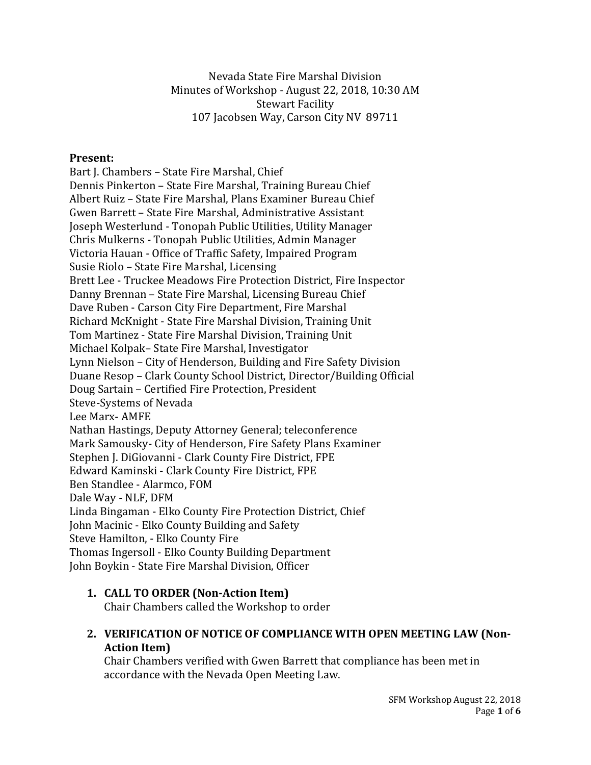Nevada State Fire Marshal Division Minutes of Workshop - August 22, 2018, 10:30 AM Stewart Facility 107 Jacobsen Way, Carson City NV 89711

#### **Present:**

Bart J. Chambers – State Fire Marshal, Chief Dennis Pinkerton – State Fire Marshal, Training Bureau Chief Albert Ruiz – State Fire Marshal, Plans Examiner Bureau Chief Gwen Barrett – State Fire Marshal, Administrative Assistant Joseph Westerlund - Tonopah Public Utilities, Utility Manager Chris Mulkerns - Tonopah Public Utilities, Admin Manager Victoria Hauan - Office of Traffic Safety, Impaired Program Susie Riolo – State Fire Marshal, Licensing Brett Lee - Truckee Meadows Fire Protection District, Fire Inspector Danny Brennan – State Fire Marshal, Licensing Bureau Chief Dave Ruben - Carson City Fire Department, Fire Marshal Richard McKnight - State Fire Marshal Division, Training Unit Tom Martinez - State Fire Marshal Division, Training Unit Michael Kolpak– State Fire Marshal, Investigator Lynn Nielson – City of Henderson, Building and Fire Safety Division Duane Resop – Clark County School District, Director/Building Official Doug Sartain – Certified Fire Protection, President Steve-Systems of Nevada Lee Marx- AMFE Nathan Hastings, Deputy Attorney General; teleconference Mark Samousky- City of Henderson, Fire Safety Plans Examiner Stephen J. DiGiovanni - Clark County Fire District, FPE Edward Kaminski - Clark County Fire District, FPE Ben Standlee - Alarmco, FOM Dale Way - NLF, DFM Linda Bingaman - Elko County Fire Protection District, Chief John Macinic - Elko County Building and Safety Steve Hamilton, - Elko County Fire Thomas Ingersoll - Elko County Building Department John Boykin - State Fire Marshal Division, Officer

### **1. CALL TO ORDER (Non-Action Item)**

Chair Chambers called the Workshop to order

### **2. VERIFICATION OF NOTICE OF COMPLIANCE WITH OPEN MEETING LAW (Non-Action Item)**

Chair Chambers verified with Gwen Barrett that compliance has been met in accordance with the Nevada Open Meeting Law.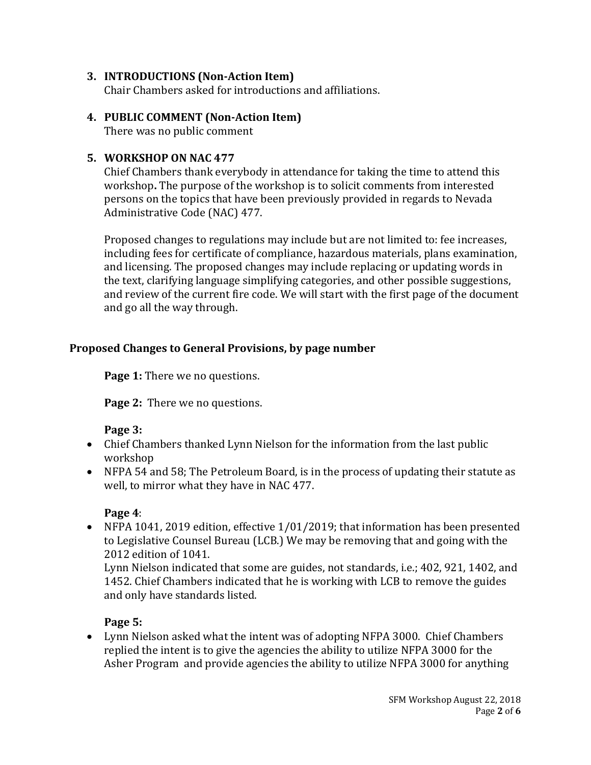### **3. INTRODUCTIONS (Non-Action Item)**

Chair Chambers asked for introductions and affiliations.

## **4. PUBLIC COMMENT (Non-Action Item)**

There was no public comment

### **5. WORKSHOP ON NAC 477**

Chief Chambers thank everybody in attendance for taking the time to attend this workshop**.** The purpose of the workshop is to solicit comments from interested persons on the topics that have been previously provided in regards to Nevada Administrative Code (NAC) 477.

Proposed changes to regulations may include but are not limited to: fee increases, including fees for certificate of compliance, hazardous materials, plans examination, and licensing. The proposed changes may include replacing or updating words in the text, clarifying language simplifying categories, and other possible suggestions, and review of the current fire code. We will start with the first page of the document and go all the way through.

## **Proposed Changes to General Provisions, by page number**

Page 1: There we no questions.

**Page 2:** There we no questions.

### **Page 3:**

- Chief Chambers thanked Lynn Nielson for the information from the last public workshop
- NFPA 54 and 58; The Petroleum Board, is in the process of updating their statute as well, to mirror what they have in NAC 477.

### **Page 4**:

• NFPA 1041, 2019 edition, effective 1/01/2019; that information has been presented to Legislative Counsel Bureau (LCB.) We may be removing that and going with the 2012 edition of 1041.

Lynn Nielson indicated that some are guides, not standards, i.e.; 402, 921, 1402, and 1452. Chief Chambers indicated that he is working with LCB to remove the guides and only have standards listed.

## **Page 5:**

• Lynn Nielson asked what the intent was of adopting NFPA 3000. Chief Chambers replied the intent is to give the agencies the ability to utilize NFPA 3000 for the Asher Program and provide agencies the ability to utilize NFPA 3000 for anything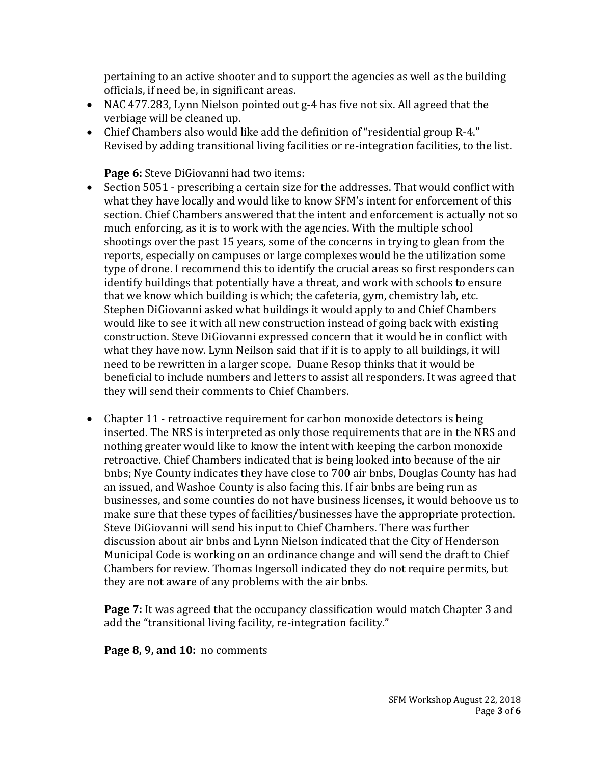pertaining to an active shooter and to support the agencies as well as the building officials, if need be, in significant areas.

- NAC 477.283, Lynn Nielson pointed out g-4 has five not six. All agreed that the verbiage will be cleaned up.
- Chief Chambers also would like add the definition of "residential group R-4." Revised by adding transitional living facilities or re-integration facilities, to the list.

**Page 6:** Steve DiGiovanni had two items:

- Section 5051 prescribing a certain size for the addresses. That would conflict with what they have locally and would like to know SFM's intent for enforcement of this section. Chief Chambers answered that the intent and enforcement is actually not so much enforcing, as it is to work with the agencies. With the multiple school shootings over the past 15 years, some of the concerns in trying to glean from the reports, especially on campuses or large complexes would be the utilization some type of drone. I recommend this to identify the crucial areas so first responders can identify buildings that potentially have a threat, and work with schools to ensure that we know which building is which; the cafeteria, gym, chemistry lab, etc. Stephen DiGiovanni asked what buildings it would apply to and Chief Chambers would like to see it with all new construction instead of going back with existing construction. Steve DiGiovanni expressed concern that it would be in conflict with what they have now. Lynn Neilson said that if it is to apply to all buildings, it will need to be rewritten in a larger scope. Duane Resop thinks that it would be beneficial to include numbers and letters to assist all responders. It was agreed that they will send their comments to Chief Chambers.
- Chapter 11 retroactive requirement for carbon monoxide detectors is being inserted. The NRS is interpreted as only those requirements that are in the NRS and nothing greater would like to know the intent with keeping the carbon monoxide retroactive. Chief Chambers indicated that is being looked into because of the air bnbs; Nye County indicates they have close to 700 air bnbs, Douglas County has had an issued, and Washoe County is also facing this. If air bnbs are being run as businesses, and some counties do not have business licenses, it would behoove us to make sure that these types of facilities/businesses have the appropriate protection. Steve DiGiovanni will send his input to Chief Chambers. There was further discussion about air bnbs and Lynn Nielson indicated that the City of Henderson Municipal Code is working on an ordinance change and will send the draft to Chief Chambers for review. Thomas Ingersoll indicated they do not require permits, but they are not aware of any problems with the air bnbs.

**Page 7:** It was agreed that the occupancy classification would match Chapter 3 and add the "transitional living facility, re-integration facility."

**Page 8, 9, and 10:** no comments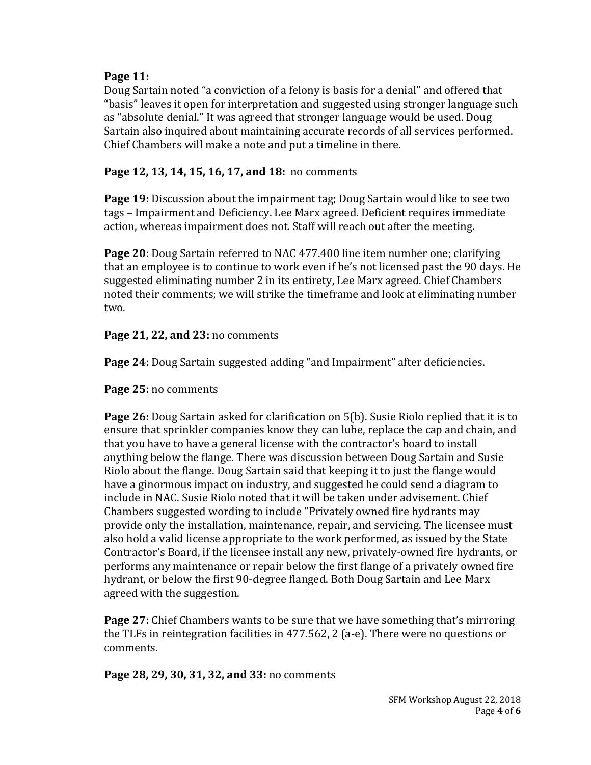## **Page 11:**

Doug Sartain noted "a conviction of a felony is basis for a denial" and offered that "basis" leaves it open for interpretation and suggested using stronger language such as "absolute denial." It was agreed that stronger language would be used. Doug Sartain also inquired about maintaining accurate records of all services performed. Chief Chambers will make a note and put a timeline in there.

# **Page 12, 13, 14, 15, 16, 17, and 18:** no comments

**Page 19:** Discussion about the impairment tag; Doug Sartain would like to see two tags – Impairment and Deficiency. Lee Marx agreed. Deficient requires immediate action, whereas impairment does not. Staff will reach out after the meeting.

**Page 20:** Doug Sartain referred to NAC 477.400 line item number one; clarifying that an employee is to continue to work even if he's not licensed past the 90 days. He suggested eliminating number 2 in its entirety, Lee Marx agreed. Chief Chambers noted their comments; we will strike the timeframe and look at eliminating number two.

**Page 21, 22, and 23:** no comments

**Page 24:** Doug Sartain suggested adding "and Impairment" after deficiencies.

**Page 25:** no comments

**Page 26:** Doug Sartain asked for clarification on 5(b). Susie Riolo replied that it is to ensure that sprinkler companies know they can lube, replace the cap and chain, and that you have to have a general license with the contractor's board to install anything below the flange. There was discussion between Doug Sartain and Susie Riolo about the flange. Doug Sartain said that keeping it to just the flange would have a ginormous impact on industry, and suggested he could send a diagram to include in NAC. Susie Riolo noted that it will be taken under advisement. Chief Chambers suggested wording to include "Privately owned fire hydrants may provide only the installation, maintenance, repair, and servicing. The licensee must also hold a valid license appropriate to the work performed, as issued by the State Contractor's Board, if the licensee install any new, privately-owned fire hydrants, or performs any maintenance or repair below the first flange of a privately owned fire hydrant, or below the first 90-degree flanged. Both Doug Sartain and Lee Marx agreed with the suggestion.

**Page 27:** Chief Chambers wants to be sure that we have something that's mirroring the TLFs in reintegration facilities in 477.562, 2 (a-e). There were no questions or comments.

**Page 28, 29, 30, 31, 32, and 33:** no comments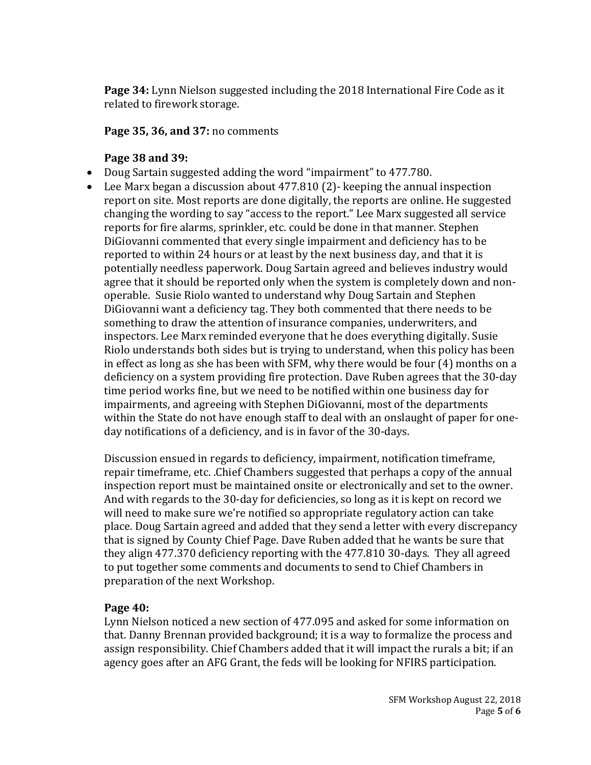**Page 34:** Lynn Nielson suggested including the 2018 International Fire Code as it related to firework storage.

**Page 35, 36, and 37:** no comments

## **Page 38 and 39:**

- Doug Sartain suggested adding the word "impairment" to 477.780.
- Lee Marx began a discussion about 477.810 (2)- keeping the annual inspection report on site. Most reports are done digitally, the reports are online. He suggested changing the wording to say "access to the report." Lee Marx suggested all service reports for fire alarms, sprinkler, etc. could be done in that manner. Stephen DiGiovanni commented that every single impairment and deficiency has to be reported to within 24 hours or at least by the next business day, and that it is potentially needless paperwork. Doug Sartain agreed and believes industry would agree that it should be reported only when the system is completely down and nonoperable. Susie Riolo wanted to understand why Doug Sartain and Stephen DiGiovanni want a deficiency tag. They both commented that there needs to be something to draw the attention of insurance companies, underwriters, and inspectors. Lee Marx reminded everyone that he does everything digitally. Susie Riolo understands both sides but is trying to understand, when this policy has been in effect as long as she has been with SFM, why there would be four (4) months on a deficiency on a system providing fire protection. Dave Ruben agrees that the 30-day time period works fine, but we need to be notified within one business day for impairments, and agreeing with Stephen DiGiovanni, most of the departments within the State do not have enough staff to deal with an onslaught of paper for oneday notifications of a deficiency, and is in favor of the 30-days.

Discussion ensued in regards to deficiency, impairment, notification timeframe, repair timeframe, etc. .Chief Chambers suggested that perhaps a copy of the annual inspection report must be maintained onsite or electronically and set to the owner. And with regards to the 30-day for deficiencies, so long as it is kept on record we will need to make sure we're notified so appropriate regulatory action can take place. Doug Sartain agreed and added that they send a letter with every discrepancy that is signed by County Chief Page. Dave Ruben added that he wants be sure that they align 477.370 deficiency reporting with the 477.810 30-days. They all agreed to put together some comments and documents to send to Chief Chambers in preparation of the next Workshop.

### **Page 40:**

Lynn Nielson noticed a new section of 477.095 and asked for some information on that. Danny Brennan provided background; it is a way to formalize the process and assign responsibility. Chief Chambers added that it will impact the rurals a bit; if an agency goes after an AFG Grant, the feds will be looking for NFIRS participation.